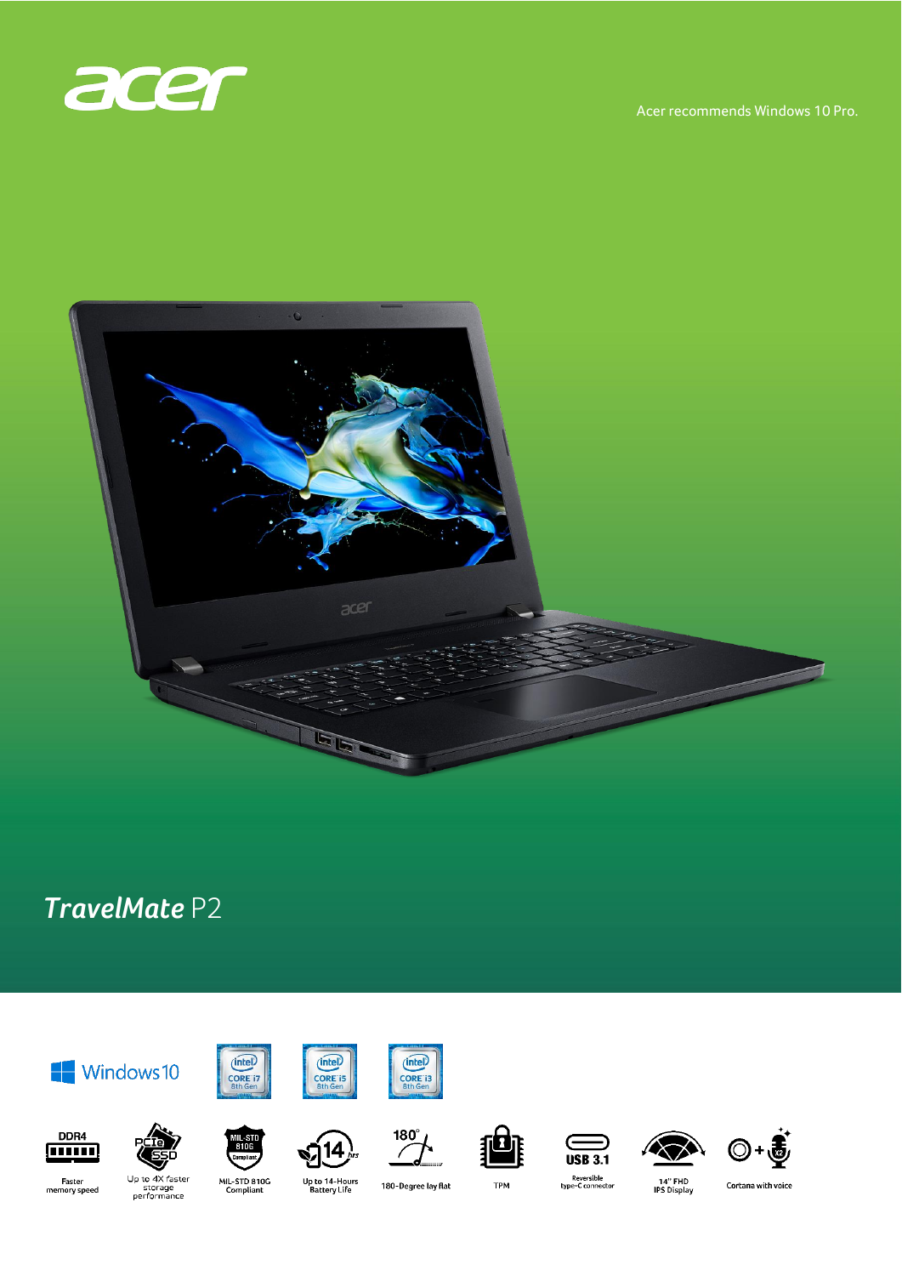

Acer recommends Windows 10 Pro.



# TravelMate P2









 $180^\circ$ 

 $\sqrt{2}$ 









Faster<br>memory speed

DDR4

**mm** 

Up to 4X faster<br>storage<br>performance

MIL-STD 810G<br>Compliant

Up to 14-Hours<br>Battery Life

180-Degree lay flat

**TPM** 

Reversible<br>type-C connector

14" FHD<br>IPS Display

Cortana with voice